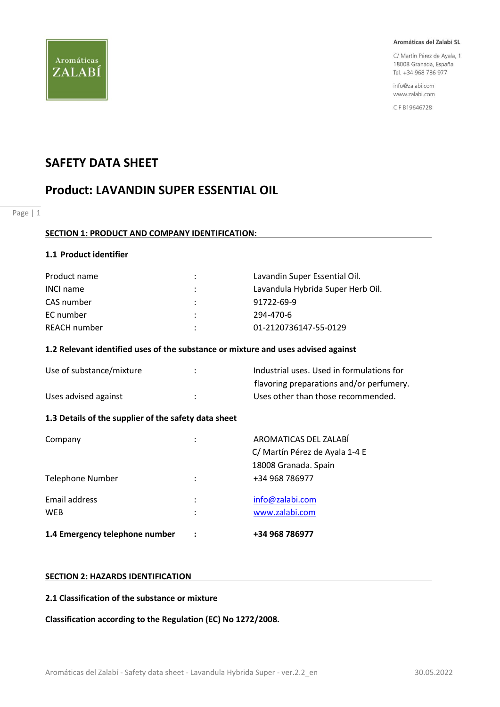

C/ Martín Pérez de Ayala, 1 18008 Granada, España Tel. +34 968 786 977

info@zalabi.com www.zalabi.com

CIF B19646728

# **SAFETY DATA SHEET**

# **Product: LAVANDIN SUPER ESSENTIAL OIL**

Page | 1

#### **SECTION 1: PRODUCT AND COMPANY IDENTIFICATION:**

#### **1.1 Product identifier**

| Product name     |                      | Lavandin Super Essential Oil.     |
|------------------|----------------------|-----------------------------------|
| <b>INCI name</b> | $\ddot{\phantom{a}}$ | Lavandula Hybrida Super Herb Oil. |
| CAS number       | $\mathcal{L}$        | 91722-69-9                        |
| EC number        |                      | 294-470-6                         |
| REACH number     | ٠                    | 01-2120736147-55-0129             |

#### **1.2 Relevant identified uses of the substance or mixture and uses advised against**

| Use of substance/mixture | Industrial uses. Used in formulations for |
|--------------------------|-------------------------------------------|
|                          | flavoring preparations and/or perfumery.  |
| Uses advised against     | Uses other than those recommended.        |

# **1.3 Details of the supplier of the safety data sheet**

| 1.4 Emergency telephone number | +34 968 786977                                          |
|--------------------------------|---------------------------------------------------------|
| Email address<br><b>WEB</b>    | info@zalabi.com<br>www.zalabi.com                       |
| Telephone Number               | 18008 Granada. Spain<br>+34 968 786977                  |
| Company                        | AROMATICAS DEL ZALABÍ<br>C/ Martín Pérez de Ayala 1-4 E |

#### **SECTION 2: HAZARDS IDENTIFICATION**

#### **2.1 Classification of the substance or mixture**

**Classification according to the Regulation (EC) No 1272/2008.**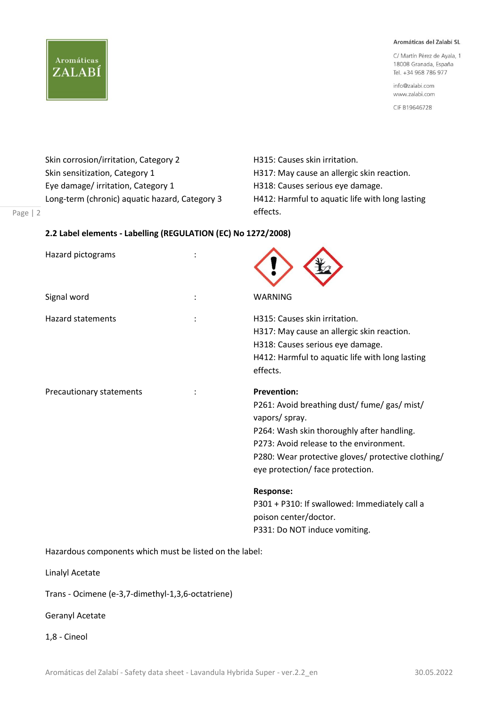C/ Martín Pérez de Ayala, 1 18008 Granada, España Tel. +34 968 786 977

info@zalabi.com www.zalabi.com

CIF B19646728

Skin corrosion/irritation, Category 2 **H315: Causes skin irritation**. Skin sensitization, Category 1 **H317:** May cause an allergic skin reaction. Eye damage/ irritation, Category 1 H318: Causes serious eye damage. Long-term (chronic) aquatic hazard, Category 3 H412: Harmful to aquatic life with long lasting

Aromáticas

ZALABÍ

effects. The contract of the contract of the contract of the contract of the contract of the contract of the c

#### Page | 2

#### **2.2 Label elements - Labelling (REGULATION (EC) No 1272/2008)**

| Hazard pictograms        |                                                                                                                                                                                                                                                                         |
|--------------------------|-------------------------------------------------------------------------------------------------------------------------------------------------------------------------------------------------------------------------------------------------------------------------|
| Signal word              | <b>WARNING</b>                                                                                                                                                                                                                                                          |
| <b>Hazard statements</b> | H315: Causes skin irritation.<br>H317: May cause an allergic skin reaction.<br>H318: Causes serious eye damage.<br>H412: Harmful to aquatic life with long lasting<br>effects.                                                                                          |
| Precautionary statements | <b>Prevention:</b><br>P261: Avoid breathing dust/ fume/ gas/ mist/<br>vapors/ spray.<br>P264: Wash skin thoroughly after handling.<br>P273: Avoid release to the environment.<br>P280: Wear protective gloves/ protective clothing/<br>eye protection/ face protection. |
|                          | <b>Response:</b><br>P301 + P310: If swallowed: Immediately call a<br>poison center/doctor.<br>P331: Do NOT induce vomiting.                                                                                                                                             |

Hazardous components which must be listed on the label:

Linalyl Acetate

Trans - Ocimene (e-3,7-dimethyl-1,3,6-octatriene)

Geranyl Acetate

1,8 - Cineol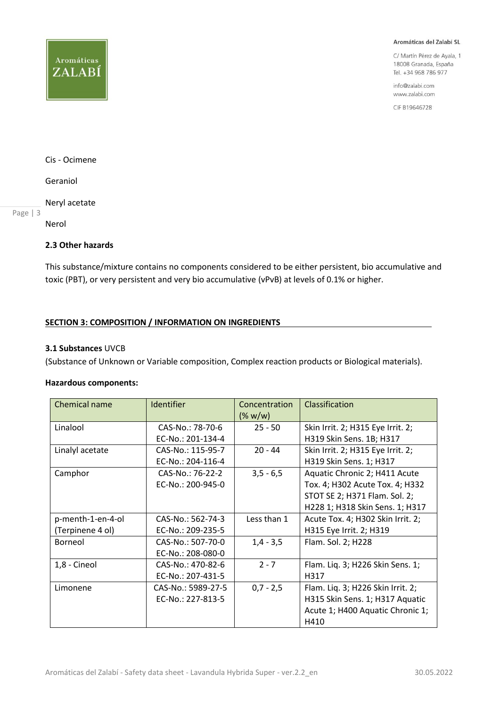

C/ Martín Pérez de Ayala, 1 18008 Granada, España Tel. +34 968 786 977

info@zalabi.com www.zalabi.com

CIF B19646728

Aromáticas

ZALABÍ

Geraniol

Neryl acetate

Page | 3

Nerol

# **2.3 Other hazards**

This substance/mixture contains no components considered to be either persistent, bio accumulative and toxic (PBT), or very persistent and very bio accumulative (vPvB) at levels of 0.1% or higher.

#### **SECTION 3: COMPOSITION / INFORMATION ON INGREDIENTS**

#### **3.1 Substances** UVCB

(Substance of Unknown or Variable composition, Complex reaction products or Biological materials).

### **Hazardous components:**

| Chemical name     | <b>Identifier</b>  | Concentration<br>$(\% w/w)$ | Classification                    |
|-------------------|--------------------|-----------------------------|-----------------------------------|
| Linalool          | CAS-No.: 78-70-6   | $25 - 50$                   | Skin Irrit. 2; H315 Eye Irrit. 2; |
|                   | EC-No.: 201-134-4  |                             | H319 Skin Sens. 1B; H317          |
| Linalyl acetate   | CAS-No.: 115-95-7  | $20 - 44$                   | Skin Irrit. 2; H315 Eye Irrit. 2; |
|                   | EC-No.: 204-116-4  |                             | H319 Skin Sens. 1; H317           |
| Camphor           | CAS-No.: 76-22-2   | $3,5 - 6,5$                 | Aquatic Chronic 2; H411 Acute     |
|                   | EC-No.: 200-945-0  |                             | Tox. 4; H302 Acute Tox. 4; H332   |
|                   |                    |                             | STOT SE 2; H371 Flam. Sol. 2;     |
|                   |                    |                             | H228 1; H318 Skin Sens. 1; H317   |
| p-menth-1-en-4-ol | CAS-No.: 562-74-3  | Less than 1                 | Acute Tox. 4; H302 Skin Irrit. 2; |
| (Terpinene 4 ol)  | EC-No.: 209-235-5  |                             | H315 Eye Irrit. 2; H319           |
| Borneol           | CAS-No.: 507-70-0  | $1,4 - 3,5$                 | Flam. Sol. 2; H228                |
|                   | EC-No.: 208-080-0  |                             |                                   |
| 1,8 - Cineol      | CAS-No.: 470-82-6  | $2 - 7$                     | Flam. Liq. 3; H226 Skin Sens. 1;  |
|                   | EC-No.: 207-431-5  |                             | H317                              |
| Limonene          | CAS-No.: 5989-27-5 | $0,7 - 2,5$                 | Flam. Liq. 3; H226 Skin Irrit. 2; |
|                   | EC-No.: 227-813-5  |                             | H315 Skin Sens. 1; H317 Aquatic   |
|                   |                    |                             | Acute 1; H400 Aquatic Chronic 1;  |
|                   |                    |                             | H410                              |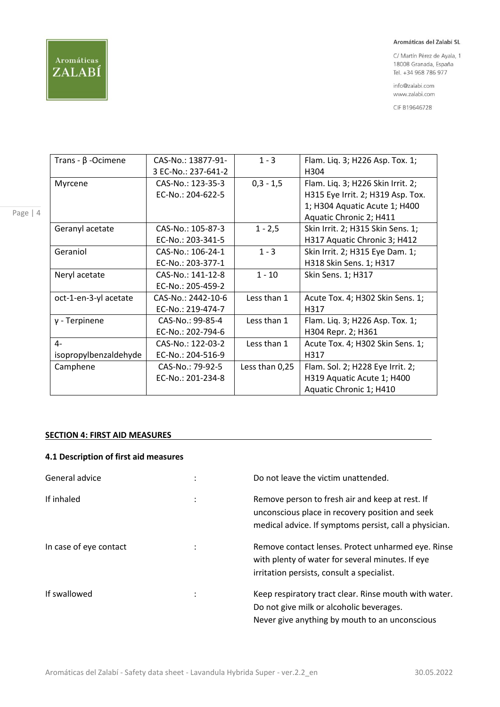# Aromáticas ZALABÍ

#### Aromáticas del Zalabí SL

C/ Martín Pérez de Ayala, 1 18008 Granada, España Tel. +34 968 786 977

info@zalabi.com www.zalabi.com

CIF B19646728

| Trans - $\beta$ -Ocimene | CAS-No.: 13877-91-  | $1 - 3$        | Flam. Liq. 3; H226 Asp. Tox. 1;   |
|--------------------------|---------------------|----------------|-----------------------------------|
|                          | 3 EC-No.: 237-641-2 |                | H304                              |
| Myrcene                  | CAS-No.: 123-35-3   | $0,3 - 1,5$    | Flam. Liq. 3; H226 Skin Irrit. 2; |
|                          | EC-No.: 204-622-5   |                | H315 Eye Irrit. 2; H319 Asp. Tox. |
|                          |                     |                | 1; H304 Aquatic Acute 1; H400     |
|                          |                     |                | Aquatic Chronic 2; H411           |
| Geranyl acetate          | CAS-No.: 105-87-3   | $1 - 2,5$      | Skin Irrit. 2; H315 Skin Sens. 1; |
|                          | EC-No.: 203-341-5   |                | H317 Aquatic Chronic 3; H412      |
| Geraniol                 | CAS-No.: 106-24-1   | $1 - 3$        | Skin Irrit. 2; H315 Eye Dam. 1;   |
|                          | EC-No.: 203-377-1   |                | H318 Skin Sens. 1; H317           |
| Neryl acetate            | CAS-No.: 141-12-8   | $1 - 10$       | Skin Sens. 1; H317                |
|                          | EC-No.: 205-459-2   |                |                                   |
| oct-1-en-3-yl acetate    | CAS-No.: 2442-10-6  | Less than 1    | Acute Tox. 4; H302 Skin Sens. 1;  |
|                          | EC-No.: 219-474-7   |                | H317                              |
| $y$ - Terpinene          | CAS-No.: 99-85-4    | Less than 1    | Flam. Liq. 3; H226 Asp. Tox. 1;   |
|                          | EC-No.: 202-794-6   |                | H304 Repr. 2; H361                |
| $4-$                     | CAS-No.: 122-03-2   | Less than 1    | Acute Tox. 4; H302 Skin Sens. 1;  |
| isopropylbenzaldehyde    | EC-No.: 204-516-9   |                | H317                              |
| Camphene                 | CAS-No.: 79-92-5    | Less than 0,25 | Flam. Sol. 2; H228 Eye Irrit. 2;  |
|                          | EC-No.: 201-234-8   |                | H319 Aquatic Acute 1; H400        |
|                          |                     |                | Aquatic Chronic 1; H410           |

## **SECTION 4: FIRST AID MEASURES**

# **4.1 Description of first aid measures**

| General advice         |   | Do not leave the victim unattended.                                                                                                                          |
|------------------------|---|--------------------------------------------------------------------------------------------------------------------------------------------------------------|
| If inhaled             |   | Remove person to fresh air and keep at rest. If<br>unconscious place in recovery position and seek<br>medical advice. If symptoms persist, call a physician. |
| In case of eye contact |   | Remove contact lenses. Protect unharmed eye. Rinse<br>with plenty of water for several minutes. If eye<br>irritation persists, consult a specialist.         |
| If swallowed           | ÷ | Keep respiratory tract clear. Rinse mouth with water.<br>Do not give milk or alcoholic beverages.<br>Never give anything by mouth to an unconscious          |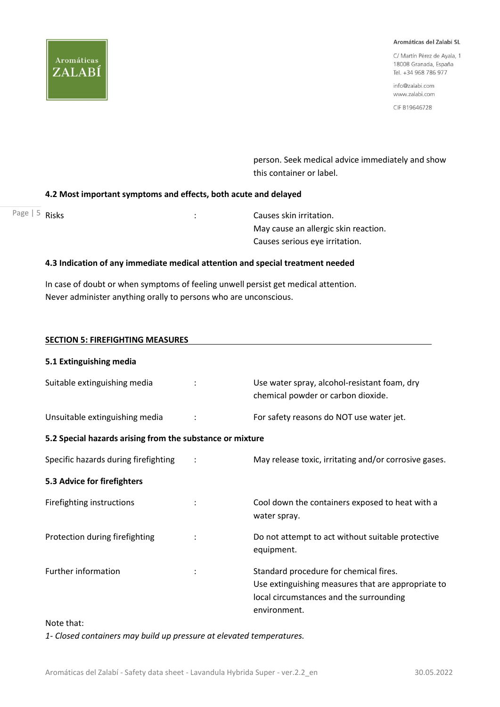

C/ Martín Pérez de Ayala, 1 18008 Granada, España Tel. +34 968 786 977

info@zalabi.com www.zalabi.com

CIF B19646728

 person. Seek medical advice immediately and show this container or label.

#### **4.2 Most important symptoms and effects, both acute and delayed**

| Page $\vert 5$ Risks | Causes skin irritation.              |
|----------------------|--------------------------------------|
|                      | May cause an allergic skin reaction. |
|                      | Causes serious eye irritation.       |

### **4.3 Indication of any immediate medical attention and special treatment needed**

In case of doubt or when symptoms of feeling unwell persist get medical attention. Never administer anything orally to persons who are unconscious.

| <b>SECTION 5: FIREFIGHTING MEASURES</b>                   |  |                                                                                                                                                         |  |  |
|-----------------------------------------------------------|--|---------------------------------------------------------------------------------------------------------------------------------------------------------|--|--|
| 5.1 Extinguishing media                                   |  |                                                                                                                                                         |  |  |
| Suitable extinguishing media                              |  | Use water spray, alcohol-resistant foam, dry<br>chemical powder or carbon dioxide.                                                                      |  |  |
| Unsuitable extinguishing media                            |  | For safety reasons do NOT use water jet.                                                                                                                |  |  |
| 5.2 Special hazards arising from the substance or mixture |  |                                                                                                                                                         |  |  |
| Specific hazards during firefighting                      |  | May release toxic, irritating and/or corrosive gases.                                                                                                   |  |  |
| 5.3 Advice for firefighters                               |  |                                                                                                                                                         |  |  |
| Firefighting instructions                                 |  | Cool down the containers exposed to heat with a<br>water spray.                                                                                         |  |  |
| Protection during firefighting                            |  | Do not attempt to act without suitable protective<br>equipment.                                                                                         |  |  |
| <b>Further information</b>                                |  | Standard procedure for chemical fires.<br>Use extinguishing measures that are appropriate to<br>local circumstances and the surrounding<br>environment. |  |  |

#### Note that:

*1- Closed containers may build up pressure at elevated temperatures.*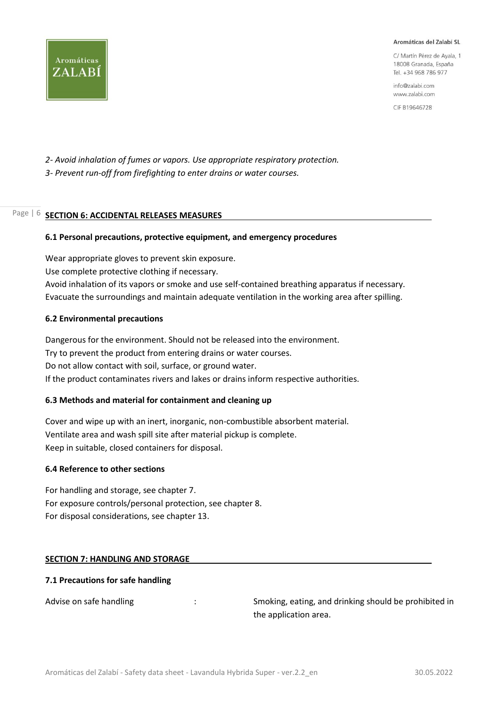C/ Martín Pérez de Avala, 1 18008 Granada, España Tel. +34 968 786 977

info@zalabi.com www.zalabi.com

CIF B19646728

*2- Avoid inhalation of fumes or vapors. Use appropriate respiratory protection. 3- Prevent run-off from firefighting to enter drains or water courses.*

#### Page | 6 **SECTION 6: ACCIDENTAL RELEASES MEASURES**

#### **6.1 Personal precautions, protective equipment, and emergency procedures**

Wear appropriate gloves to prevent skin exposure. Use complete protective clothing if necessary. Avoid inhalation of its vapors or smoke and use self-contained breathing apparatus if necessary. Evacuate the surroundings and maintain adequate ventilation in the working area after spilling.

#### **6.2 Environmental precautions**

Dangerous for the environment. Should not be released into the environment. Try to prevent the product from entering drains or water courses. Do not allow contact with soil, surface, or ground water. If the product contaminates rivers and lakes or drains inform respective authorities.

#### **6.3 Methods and material for containment and cleaning up**

Cover and wipe up with an inert, inorganic, non-combustible absorbent material. Ventilate area and wash spill site after material pickup is complete. Keep in suitable, closed containers for disposal.

#### **6.4 Reference to other sections**

For handling and storage, see chapter 7. For exposure controls/personal protection, see chapter 8. For disposal considerations, see chapter 13.

#### **SECTION 7: HANDLING AND STORAGE**

#### **7.1 Precautions for safe handling**

Advise on safe handling  $\cdot$  : Smoking, eating, and drinking should be prohibited in the application area.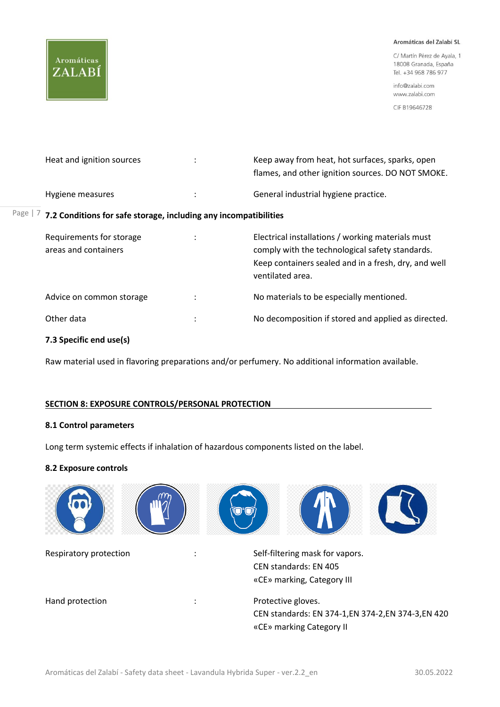# Aromáticas ZALABÍ

#### Aromáticas del Zalabí SL

C/ Martín Pérez de Ayala, 1 18008 Granada, España Tel. +34 968 786 977

info@zalabi.com www.zalabi.com

CIF B19646728

| Heat and ignition sources                                                  |         | Keep away from heat, hot surfaces, sparks, open<br>flames, and other ignition sources. DO NOT SMOKE. |
|----------------------------------------------------------------------------|---------|------------------------------------------------------------------------------------------------------|
| Hygiene measures                                                           | ÷       | General industrial hygiene practice.                                                                 |
| Page $ 7$ 7.2 Conditions for safe storage, including any incompatibilities |         |                                                                                                      |
| Requirements for storage                                                   | $\cdot$ | Electrical installations / working materials must                                                    |

| <b>INCUBILIONICITIES</b> TOP SLOTURE<br>areas and containers |                | Licetifical instantations; working matchass mast<br>comply with the technological safety standards.<br>Keep containers sealed and in a fresh, dry, and well<br>ventilated area. |
|--------------------------------------------------------------|----------------|---------------------------------------------------------------------------------------------------------------------------------------------------------------------------------|
| Advice on common storage                                     | $\ddot{\cdot}$ | No materials to be especially mentioned.                                                                                                                                        |
| Other data                                                   | :              | No decomposition if stored and applied as directed.                                                                                                                             |
|                                                              |                |                                                                                                                                                                                 |

# **7.3 Specific end use(s)**

Raw material used in flavoring preparations and/or perfumery. No additional information available.

#### **SECTION 8: EXPOSURE CONTROLS/PERSONAL PROTECTION**

#### **8.1 Control parameters**

Long term systemic effects if inhalation of hazardous components listed on the label.

#### **8.2 Exposure controls**

| Respiratory protection | Self-filtering mask for vapors.<br>CEN standards: EN 405<br>«CE» marking, Category III                |
|------------------------|-------------------------------------------------------------------------------------------------------|
| Hand protection        | Protective gloves.<br>CEN standards: EN 374-1, EN 374-2, EN 374-3, EN 420<br>«CE» marking Category II |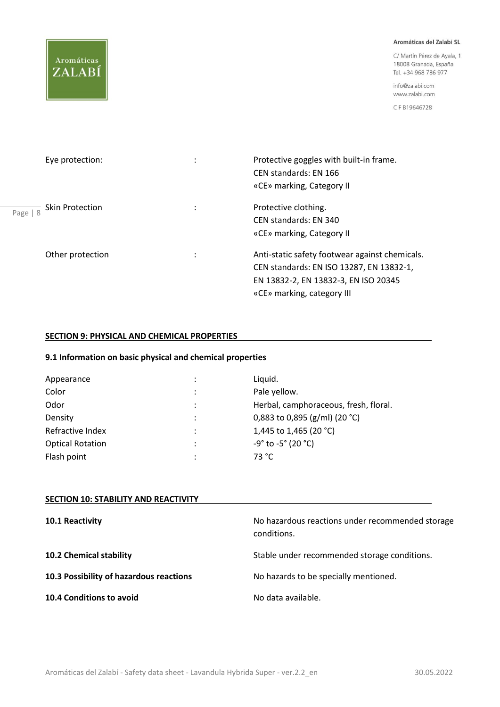# Aromáticas ZALABÍ

#### Aromáticas del Zalabí SL

C/ Martín Pérez de Ayala, 1 18008 Granada, España Tel. +34 968 786 977

info@zalabi.com www.zalabi.com

CIF B19646728

| Eye protection:               | Protective goggles with built-in frame.<br>CEN standards: EN 166<br>«CE» marking, Category II                                                                    |
|-------------------------------|------------------------------------------------------------------------------------------------------------------------------------------------------------------|
| Skin Protection<br>Page   $8$ | Protective clothing.<br>CEN standards: EN 340<br>«CE» marking, Category II                                                                                       |
| Other protection              | Anti-static safety footwear against chemicals.<br>CEN standards: EN ISO 13287, EN 13832-1,<br>EN 13832-2, EN 13832-3, EN ISO 20345<br>«CE» marking, category III |

## **SECTION 9: PHYSICAL AND CHEMICAL PROPERTIES**

# **9.1 Information on basic physical and chemical properties**

| Appearance              |   | Liquid.                                        |
|-------------------------|---|------------------------------------------------|
| Color                   |   | Pale yellow.                                   |
| Odor                    |   | Herbal, camphoraceous, fresh, floral.          |
| Density                 |   | 0,883 to 0,895 (g/ml) (20 °C)                  |
| Refractive Index        | ٠ | 1,445 to 1,465 (20 °C)                         |
| <b>Optical Rotation</b> |   | $-9^{\circ}$ to $-5^{\circ}$ (20 $^{\circ}$ C) |
| Flash point             |   | 73 °C                                          |

| <b>SECTION 10: STABILITY AND REACTIVITY</b> |                                                                 |
|---------------------------------------------|-----------------------------------------------------------------|
| 10.1 Reactivity                             | No hazardous reactions under recommended storage<br>conditions. |
| 10.2 Chemical stability                     | Stable under recommended storage conditions.                    |
| 10.3 Possibility of hazardous reactions     | No hazards to be specially mentioned.                           |
| 10.4 Conditions to avoid                    | No data available.                                              |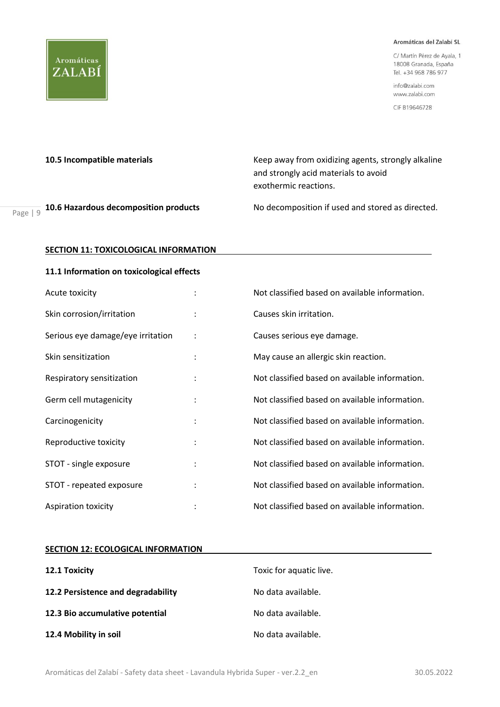C/ Martín Pérez de Ayala, 1 18008 Granada, España Tel. +34 968 786 977

info@zalabi.com www.zalabi.com

CIF B19646728

Aromáticas

ZALABÍ

**10.5 Incompatible materials** Keep away from oxidizing agents, strongly alkaline and strongly acid materials to avoid exothermic reactions.

Page | 9

**10.6 Hazardous decomposition products** No decomposition if used and stored as directed.

#### **SECTION 11: TOXICOLOGICAL INFORMATION**

#### **11.1 Information on toxicological effects**

| Acute toxicity                    |                      | Not classified based on available information. |
|-----------------------------------|----------------------|------------------------------------------------|
| Skin corrosion/irritation         |                      | Causes skin irritation.                        |
| Serious eye damage/eye irritation | $\ddot{\cdot}$       | Causes serious eye damage.                     |
| Skin sensitization                |                      | May cause an allergic skin reaction.           |
| Respiratory sensitization         |                      | Not classified based on available information. |
| Germ cell mutagenicity            |                      | Not classified based on available information. |
| Carcinogenicity                   | $\ddot{\phantom{a}}$ | Not classified based on available information. |
| Reproductive toxicity             |                      | Not classified based on available information. |
| STOT - single exposure            | $\ddot{\cdot}$       | Not classified based on available information. |
| STOT - repeated exposure          |                      | Not classified based on available information. |
| <b>Aspiration toxicity</b>        |                      | Not classified based on available information. |

#### **SECTION 12: ECOLOGICAL INFORMATION**

| 12.1 Toxicity                      | Toxic for aquatic live. |
|------------------------------------|-------------------------|
| 12.2 Persistence and degradability | No data available.      |
| 12.3 Bio accumulative potential    | No data available.      |
| 12.4 Mobility in soil              | No data available.      |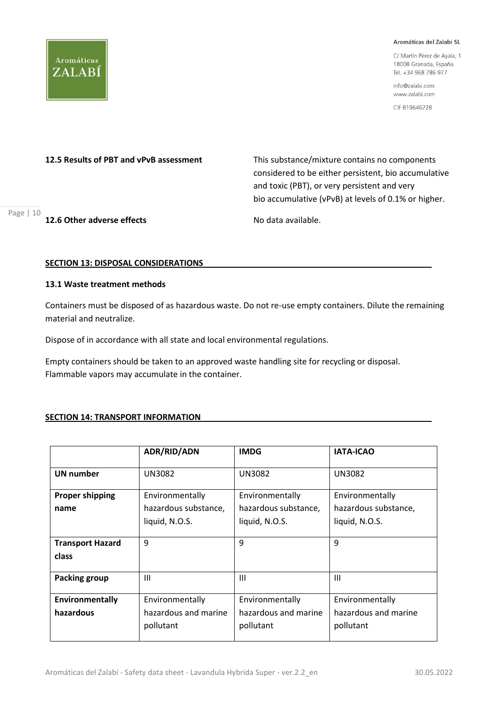

C/ Martín Pérez de Ayala, 1 18008 Granada, España Tel. +34 968 786 977

info@zalabi.com www.zalabi.com

CIF B19646728

**12.5 Results of PBT and vPvB assessment** This substance/mixture contains no components considered to be either persistent, bio accumulative and toxic (PBT), or very persistent and very bio accumulative (vPvB) at levels of 0.1% or higher.

#### **12.6 Other adverse effects** No data available.

Page | 10

#### **SECTION 13: DISPOSAL CONSIDERATIONS**

# **13.1 Waste treatment methods**

Containers must be disposed of as hazardous waste. Do not re-use empty containers. Dilute the remaining material and neutralize.

Dispose of in accordance with all state and local environmental regulations.

Empty containers should be taken to an approved waste handling site for recycling or disposal. Flammable vapors may accumulate in the container.

#### **SECTION 14: TRANSPORT INFORMATION**

|                                  | ADR/RID/ADN                       | <b>IMDG</b>                       | <b>IATA-ICAO</b>                  |
|----------------------------------|-----------------------------------|-----------------------------------|-----------------------------------|
| <b>UN number</b>                 | <b>UN3082</b>                     | <b>UN3082</b>                     | <b>UN3082</b>                     |
| <b>Proper shipping</b>           | Environmentally                   | Environmentally                   | Environmentally                   |
| name                             | hazardous substance,              | hazardous substance,              | hazardous substance,              |
|                                  | liquid, N.O.S.                    | liquid, N.O.S.                    | liquid, N.O.S.                    |
| <b>Transport Hazard</b><br>class | 9                                 | 9                                 | 9                                 |
| <b>Packing group</b>             | $\mathbf{III}$                    | $\mathbf{III}$                    | $\mathbf{III}$                    |
| Environmentally                  | Environmentally                   | Environmentally                   | Environmentally                   |
| hazardous                        | hazardous and marine<br>pollutant | hazardous and marine<br>pollutant | hazardous and marine<br>pollutant |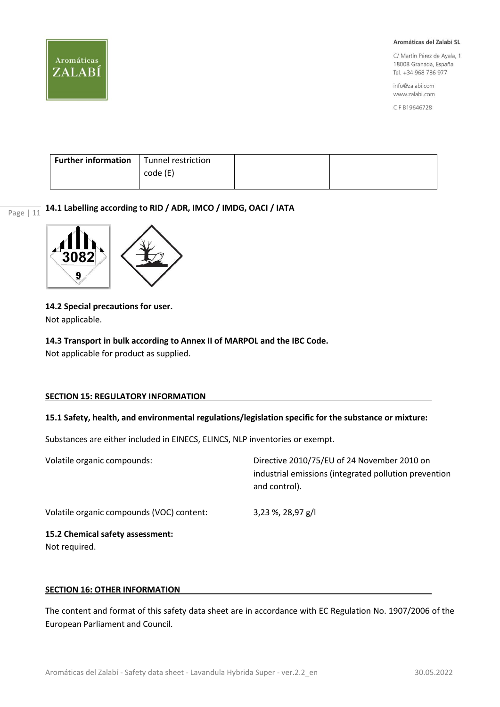

C/ Martín Pérez de Ayala, 1 18008 Granada, España Tel. +34 968 786 977

info@zalabi.com www.zalabi.com

CIF B19646728

| <b>Further information</b>   Tunnel restriction |          |  |
|-------------------------------------------------|----------|--|
|                                                 | code (E) |  |
|                                                 |          |  |

Page | 11 **14.1 Labelling according to RID / ADR, IMCO / IMDG, OACI / IATA**



**14.2 Special precautions for user.** Not applicable.

# **14.3 Transport in bulk according to Annex II of MARPOL and the IBC Code.**

Not applicable for product as supplied.

#### **SECTION 15: REGULATORY INFORMATION**

#### **15.1 Safety, health, and environmental regulations/legislation specific for the substance or mixture:**

Substances are either included in EINECS, ELINCS, NLP inventories or exempt.

| Volatile organic compounds:                       | Directive 2010/75/EU of 24 November 2010 on<br>industrial emissions (integrated pollution prevention<br>and control). |
|---------------------------------------------------|-----------------------------------------------------------------------------------------------------------------------|
| Volatile organic compounds (VOC) content:         | 3,23 %, 28,97 g/l                                                                                                     |
| 15.2 Chemical safety assessment:<br>Not required. |                                                                                                                       |

#### **SECTION 16: OTHER INFORMATION**

The content and format of this safety data sheet are in accordance with EC Regulation No. 1907/2006 of the European Parliament and Council.